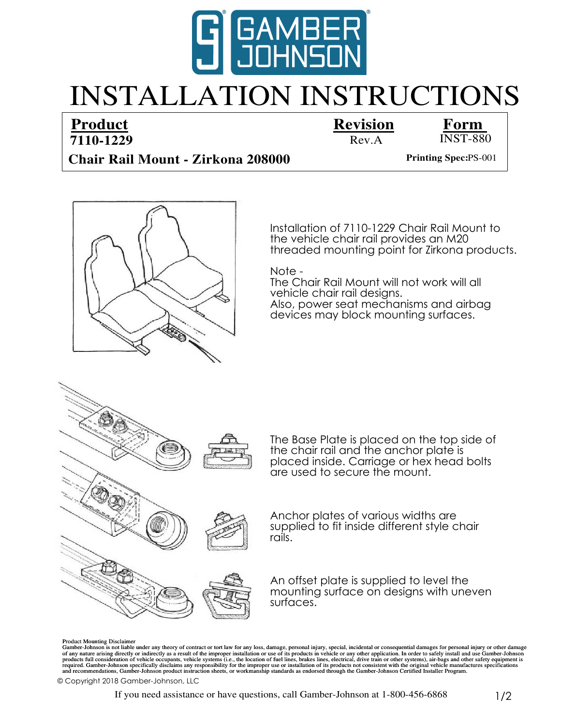

## INSTALLATION INSTRUCTIONS

## **7110-1229 Product Revision Form**



## **Chair Rail Mount - Zirkona 208000** Printing Spec:PS-001



Installation of 7110-1229 Chair Rail Mount to threaded mounting point for Zirkona products. the vehicle chair rail provides an M20

Note -

vehicle chair rail designs. Also, power seat mechanisms and airbag The Chair Rail Mount will not work will all devices may block mounting surfaces.



Product Mounting Disclaimer

Gamber-Johnson is not liable under any theory of contract or tort law for any loss, damage, personal injury, special, incidental or consequential damages for personal injury or other damage of any nature arising directly o

© Copyright 2018 Gamber-Johnson, LLC